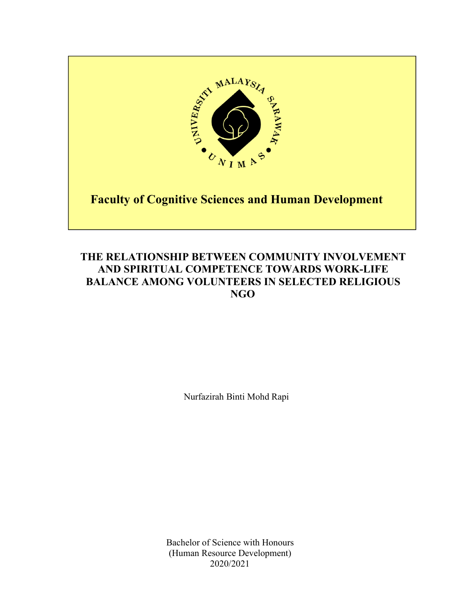

# **THE RELATIONSHIP BETWEEN COMMUNITY INVOLVEMENT AND SPIRITUAL COMPETENCE TOWARDS WORK-LIFE BALANCE AMONG VOLUNTEERS IN SELECTED RELIGIOUS NGO**

Nurfazirah Binti Mohd Rapi

Bachelor of Science with Honours (Human Resource Development) 2020/2021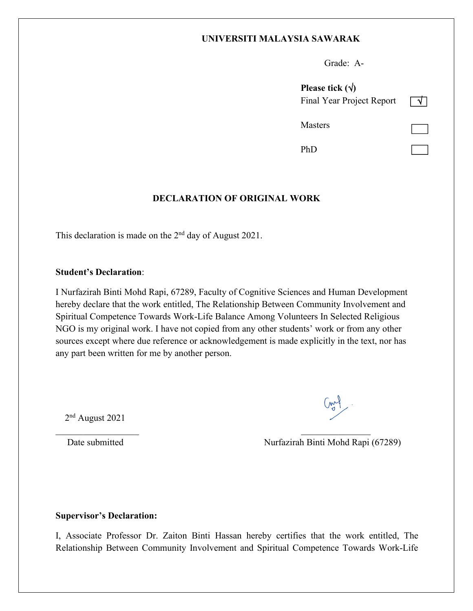## **UNIVERSITI MALAYSIA SAWARAK**

Grade: A-

| Please tick $(\forall)$          |  |
|----------------------------------|--|
| <b>Final Year Project Report</b> |  |
| Masters                          |  |
| PhD                              |  |

## **DECLARATION OF ORIGINAL WORK**

This declaration is made on the 2<sup>nd</sup> day of August 2021.

## **Student's Declaration**:

I Nurfazirah Binti Mohd Rapi, 67289, Faculty of Cognitive Sciences and Human Development hereby declare that the work entitled, The Relationship Between Community Involvement and Spiritual Competence Towards Work-Life Balance Among Volunteers In Selected Religious NGO is my original work. I have not copied from any other students' work or from any other sources except where due reference or acknowledgement is made explicitly in the text, nor has any part been written for me by another person.

2 nd August 2021

 $\begin{pmatrix} 1 & 1 \\ 1 & 1 \\ 1 & 1 \end{pmatrix}$ 

Date submitted Nurfazirah Binti Mohd Rapi (67289)

## **Supervisor's Declaration:**

I, Associate Professor Dr. Zaiton Binti Hassan hereby certifies that the work entitled, The Relationship Between Community Involvement and Spiritual Competence Towards Work-Life

 $\mathcal{L}_\text{max}$  , and the contract of the contract of the contract of the contract of the contract of the contract of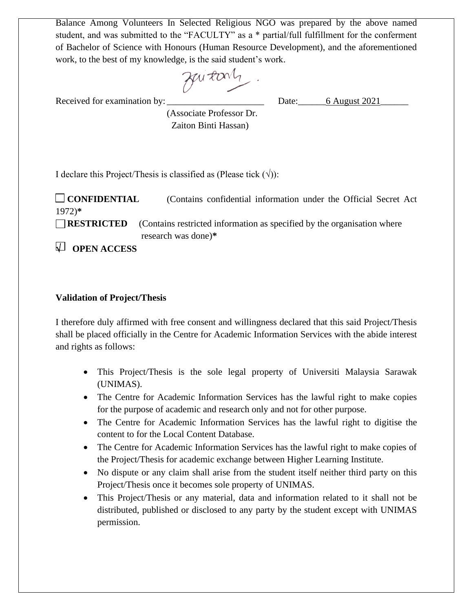Balance Among Volunteers In Selected Religious NGO was prepared by the above named student, and was submitted to the "FACULTY" as a \* partial/full fulfillment for the conferment of Bachelor of Science with Honours (Human Resource Development), and the aforementioned work, to the best of my knowledge, is the said student's work.

Zuitary

Received for examination by: \_\_\_\_\_\_\_\_\_\_\_\_\_\_\_\_\_\_\_\_\_ Date:\_\_\_\_\_\_6 August 2021\_\_\_\_\_\_

 (Associate Professor Dr. Zaiton Binti Hassan)

I declare this Project/Thesis is classified as (Please tick  $(\sqrt{\ })$ ):

 **CONFIDENTIAL** (Contains confidential information under the Official Secret Act 1972)**\***

**RESTRICTED** (Contains restricted information as specified by the organisation where research was done)**\***

**OPEN ACCESS**

# **Validation of Project/Thesis**

I therefore duly affirmed with free consent and willingness declared that this said Project/Thesis shall be placed officially in the Centre for Academic Information Services with the abide interest and rights as follows:

- This Project/Thesis is the sole legal property of Universiti Malaysia Sarawak (UNIMAS).
- The Centre for Academic Information Services has the lawful right to make copies for the purpose of academic and research only and not for other purpose.
- The Centre for Academic Information Services has the lawful right to digitise the content to for the Local Content Database.
- The Centre for Academic Information Services has the lawful right to make copies of the Project/Thesis for academic exchange between Higher Learning Institute.
- No dispute or any claim shall arise from the student itself neither third party on this Project/Thesis once it becomes sole property of UNIMAS.
- This Project/Thesis or any material, data and information related to it shall not be distributed, published or disclosed to any party by the student except with UNIMAS permission.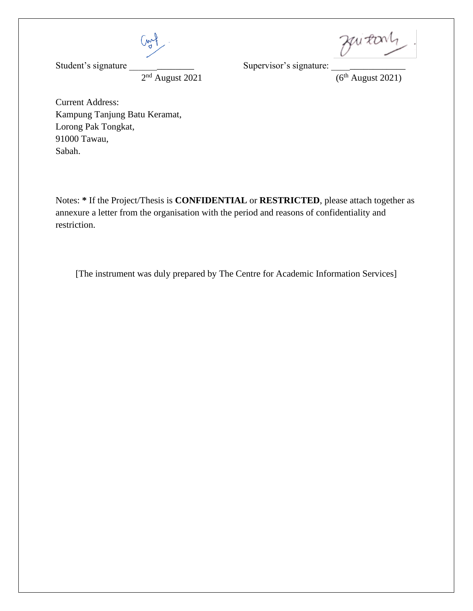Cont

 $2<sup>nd</sup>$  August 2021

Student's signature \_\_\_\_\_\_\_\_\_\_\_\_\_\_ Supervisor's signature: \_\_\_\_\_\_\_\_\_\_\_\_\_\_\_\_

 $^{nd}$  August 2021 (6<sup>th</sup> August 2021)

Current Address: Kampung Tanjung Batu Keramat, Lorong Pak Tongkat, 91000 Tawau, Sabah.

Notes: **\*** If the Project/Thesis is **CONFIDENTIAL** or **RESTRICTED**, please attach together as annexure a letter from the organisation with the period and reasons of confidentiality and restriction.

[The instrument was duly prepared by The Centre for Academic Information Services]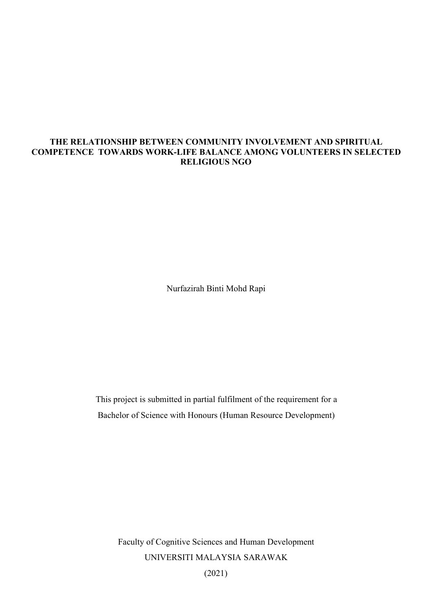## **THE RELATIONSHIP BETWEEN COMMUNITY INVOLVEMENT AND SPIRITUAL COMPETENCE TOWARDS WORK-LIFE BALANCE AMONG VOLUNTEERS IN SELECTED RELIGIOUS NGO**

Nurfazirah Binti Mohd Rapi

This project is submitted in partial fulfilment of the requirement for a Bachelor of Science with Honours (Human Resource Development)

Faculty of Cognitive Sciences and Human Development UNIVERSITI MALAYSIA SARAWAK (2021)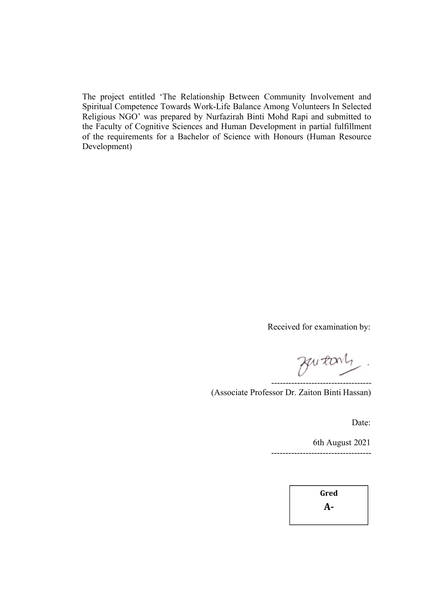The project entitled 'The Relationship Between Community Involvement and Spiritual Competence Towards Work-Life Balance Among Volunteers In Selected Religious NGO' was prepared by Nurfazirah Binti Mohd Rapi and submitted to the Faculty of Cognitive Sciences and Human Development in partial fulfillment of the requirements for a Bachelor of Science with Honours (Human Resource Development)

Received for examination by:

Zuitary -----------------------------------

(Associate Professor Dr.Zaiton Binti Hassan)

Date:

6th August 2021 -----------------------------------

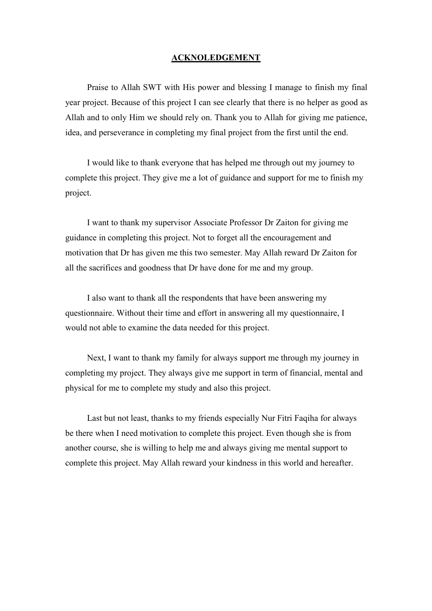## **ACKNOLEDGEMENT**

Praise to Allah SWT with His power and blessing I manage to finish my final year project. Because of this project I can see clearly that there is no helper as good as Allah and to only Him we should rely on. Thank you to Allah for giving me patience, idea, and perseverance in completing my final project from the first until the end.

I would like to thank everyone that has helped me through out my journey to complete this project. They give me a lot of guidance and support for me to finish my project.<br>I want to thank my supervisor Associate Professor Dr Zaiton for giving me

guidance in completing this project. Not to forget all the encouragement and motivation that Dr has given me this two semester. May Allah reward Dr Zaiton for all the sacrifices and goodness that Dr have done for me and my group.

I also want to thank all the respondents that have been answering my questionnaire. Without their time and effort in answering all my questionnaire, I would not able to examine the data needed for this project.

Next, I want to thank my family for always support me through my journey in completing my project. They always give me support in term of financial, mental and physical for me to complete my study and also this project.

Last but not least, thanks to my friends especially Nur Fitri Faqiha for always be there when I need motivation to complete this project. Even though she is from another course, she is willing to help me and always giving me mental support to complete this project. May Allah reward your kindness in this world and hereafter.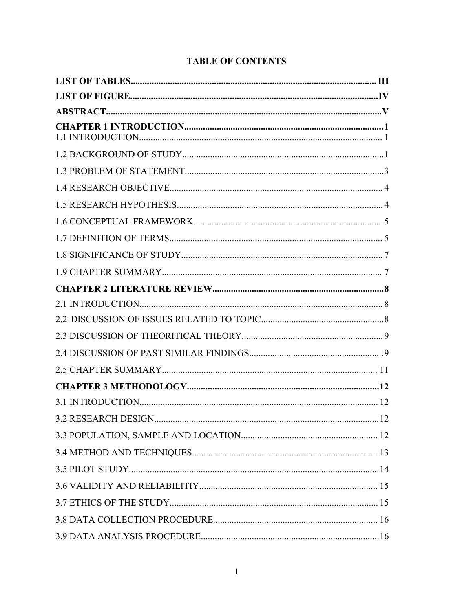| .12 |
|-----|
|     |
|     |
|     |
|     |
|     |
|     |
|     |

# **TABLE OF CONTENTS**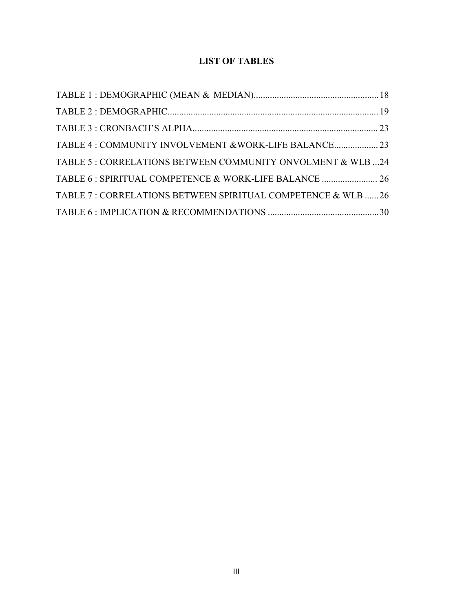# **LIST OF TABLES**

| TABLE 5: CORRELATIONS BETWEEN COMMUNITY ONVOLMENT & WLB 24   |  |
|--------------------------------------------------------------|--|
|                                                              |  |
| TABLE 7: CORRELATIONS BETWEEN SPIRITUAL COMPETENCE & WLB  26 |  |
|                                                              |  |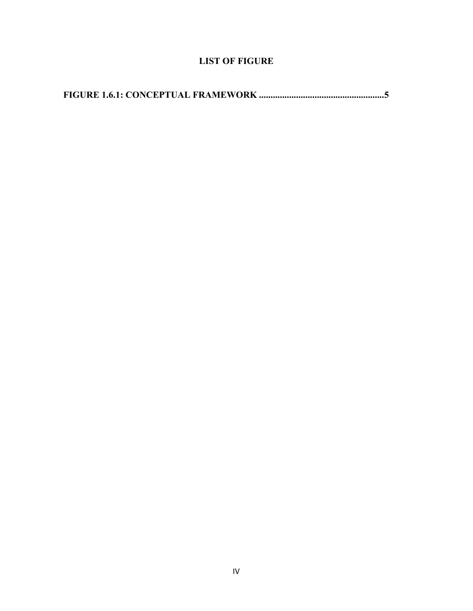# **LIST OF FIGURE**

**FIGURE 1.6.1: CONCEPTUAL FRAMEWORK ......................................................5**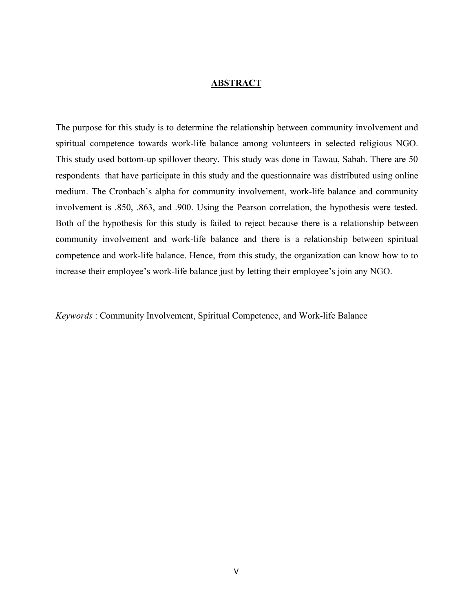#### **ABSTRACT**

The purpose for this study is to determine the relationship between community involvement and spiritual competence towards work-life balance among volunteers in selected religious NGO. This study used bottom-up spillover theory. This study was done in Tawau, Sabah. There are 50 respondents that have participate in this study and the questionnaire was distributed using online medium. The Cronbach's alpha for community involvement, work-life balance and community involvement is .850, .863, and .900. Using the Pearson correlation, the hypothesis were tested. Both of the hypothesis for this study is failed to reject because there is a relationship between community involvement and work-life balance and there is a relationship between spiritual competence and work-life balance. Hence, from this study, the organization can know how to to increase their employee's work-life balance just by letting their employee's join any NGO.

*Keywords* : Community Involvement, Spiritual Competence, and Work-life Balance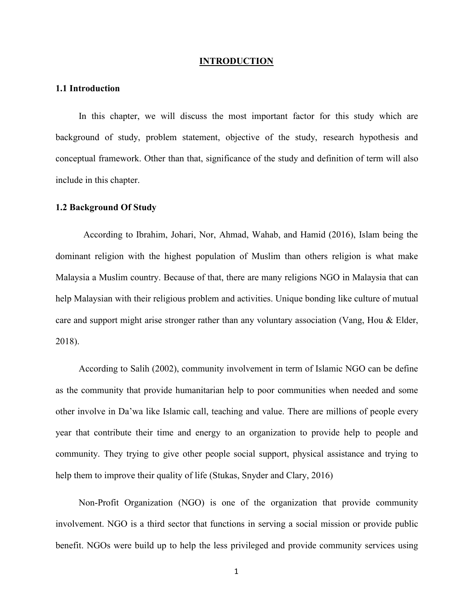#### **INTRODUCTION**

#### **1.1 Introduction**

In this chapter, we will discuss the most important factor for this study which are background of study, problem statement, objective of the study, research hypothesis and conceptual framework. Other than that, significance of the study and definition of term will also include in this chapter.

#### **1.2 Background Of Study**

According to Ibrahim, Johari, Nor, Ahmad, Wahab, and Hamid (2016), Islam being the dominant religion with the highest population of Muslim than others religion is what make Malaysia a Muslim country. Because of that, there are many religions NGO in Malaysia that can help Malaysian with their religious problem and activities. Unique bonding like culture of mutual care and support might arise stronger rather than any voluntary association (Vang, Hou & Elder, 2018).<br>According to Salih (2002), community involvement in term of Islamic NGO can be define

as the community that provide humanitarian help to poor communities when needed and some other involve in Da'wa like Islamic call, teaching and value. There are millions of people every year that contribute their time and energy to an organization to provide help to people and community. They trying to give other people social support, physical assistance and trying to help them to improve their quality of life (Stukas, Snyder and Clary, 2016)

Non-Profit Organization (NGO) is one of the organization that provide community involvement. NGO is a third sector that functions in serving a social mission or provide public benefit. NGOs were build up to help the less privileged and provide community services using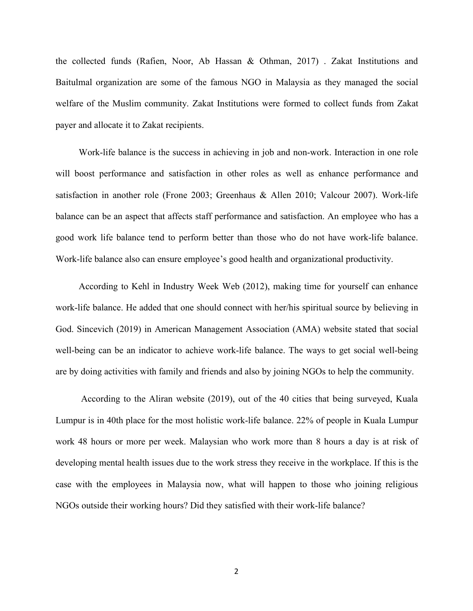the collected funds (Rafien, Noor, Ab Hassan & Othman, 2017) . Zakat Institutions and Baitulmal organization are some of the famous NGO in Malaysia as they managed the social welfare of the Muslim community. Zakat Institutions were formed to collect funds from Zakat payer and allocate it to Zakat recipients.

Work-life balance is the success in achieving in job and non-work. Interaction in one role will boost performance and satisfaction in other roles as well as enhance performance and satisfaction in another role (Frone 2003; Greenhaus & Allen 2010; Valcour 2007). Work-life balance can be an aspect that affects staff performance and satisfaction. An employee who has a good work life balance tend to perform better than those who do not have work-life balance.<br>Work-life balance also can ensure employee's good health and organizational productivity.

According to Kehl in Industry Week Web (2012), making time for yourself can enhance work-life balance. He added that one should connect with her/his spiritual source by believing in God. Sincevich (2019) in American Management Association (AMA) website stated that social well-being can be an indicator to achieve work-life balance. The ways to get social well-being are by doing activities with family and friends and also by joining NGOs to help the community.

According to the Aliran website (2019), out of the 40 cities that being surveyed, Kuala Lumpur is in 40th place for the most holistic work-life balance. 22% of people in Kuala Lumpur work 48 hours or more per week. Malaysian who work more than 8 hours a day is at risk of developing mental health issues due to the work stress they receive in the workplace. If this is the case with the employees in Malaysia now, what will happen to those who joining religious NGOs outside their working hours? Did they satisfied with their work-life balance?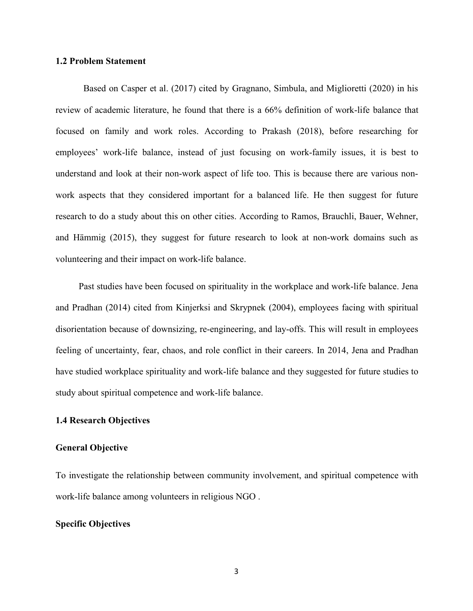## **1.2 Problem Statement**

Based on Casper et al. (2017) cited by Gragnano, Simbula, and Miglioretti (2020) in his review of academic literature, he found that there is a 66% definition of work-life balance that focused on family and work roles. According to Prakash (2018), before researching for employees' work-life balance, instead of just focusing on work-family issues, it is best to understand and look at their non-work aspect of life too. This is because there are various non work aspects that they considered important for a balanced life. He then suggest for future research to do a study about this on other cities. According to Ramos, Brauchli, Bauer, Wehner, and Hämmig (2015), they suggest for future research to look at non-work domains such as volunteering and their impact on work-life balance.

Past studies have been focused on spirituality in the workplace and work-life balance. Jena and Pradhan (2014) cited from Kinjerksi and Skrypnek (2004), employees facing with spiritual disorientation because of downsizing, re-engineering, and lay-offs. This will result in employees feeling of uncertainty, fear, chaos, and role conflict in their careers. In 2014, Jena and Pradhan have studied workplace spirituality and work-life balance and they suggested for future studies to study about spiritual competence and work-life balance.

#### **1.4 Research Objectives**

### **General Objective**

To investigate the relationship between community involvement, and spiritual competence with work-life balance among volunteers in religious NGO .

## **Specific Objectives**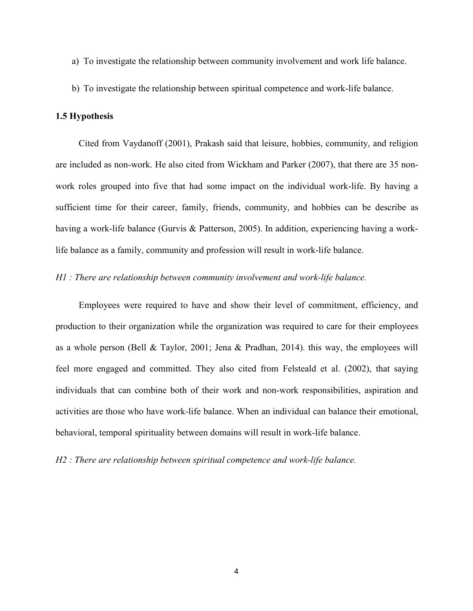- a) To investigate the relationship between community involvement and work life balance.
- b) To investigate the relationship between spiritual competence and work-life balance.

## **1.5 Hypothesis**

Cited from Vaydanoff (2001), Prakash said that leisure, hobbies, community, and religion are included as non-work. He also cited from Wickham and Parker (2007), that there are 35 non work roles grouped into five that had some impact on the individual work-life. By having a sufficient time for their career, family, friends, community, and hobbies can be describe as having a work-life balance (Gurvis & Patterson, 2005). In addition, experiencing having a worklife balance as a family, community and profession will result in work-life balance.

## *H1 : There are relationship between community involvement and work-life balance.*

Employees were required to have and show their level of commitment, efficiency, and production to their organization while the organization was required to care for their employees as a whole person (Bell & Taylor, 2001; Jena & Pradhan, 2014). this way, the employees will feel more engaged and committed. They also cited from Felsteald et al. (2002), that saying individuals that can combine both of their work and non-work responsibilities, aspiration and activities are those who have work-life balance. When an individual can balance their emotional, behavioral, temporal spirituality between domains will result in work-life balance.

*H2 : There are relationship between spiritual competence and work-life balance.*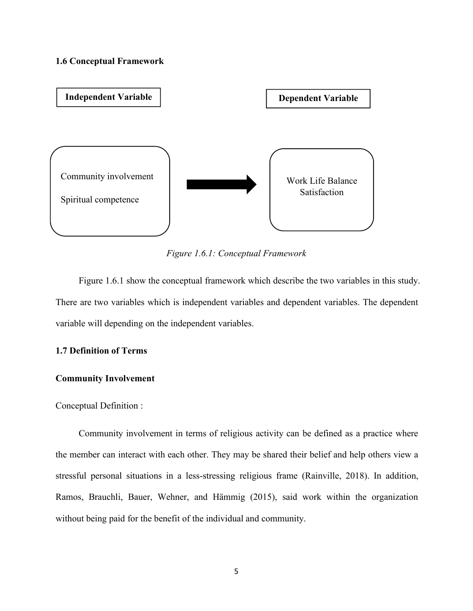#### **1.6 Conceptual Framework**



*Figure 1.6.1: Conceptual Framework*

Figure 1.6.1 show the conceptual framework which describe the two variables in this study.<br>There are two variables which is independent variables and dependent variables. The dependent variable will depending on the independent variables.

## **1.7 Definition of Terms**

## **Community Involvement**

Conceptual Definition :

Community involvement in terms of religious activity can be defined as a practice where the member can interact with each other. They may be shared their belief and help others view a stressful personal situations in a less-stressing religious frame (Rainville, 2018). In addition, Ramos, Brauchli, Bauer, Wehner, and Hämmig (2015), said work within the organization without being paid for the benefit of the individual and community.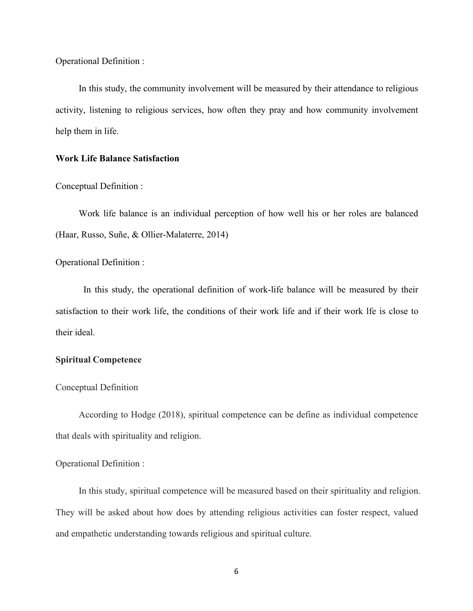Operational Definition :

In this study, the community involvement will be measured by their attendance to religious activity, listening to religious services, how often they pray and how community involvement help them in life.

## **Work Life Balance Satisfaction**

Conceptual Definition :

Work life balance is an individual perception of how well his or her roles are balanced (Haar, Russo, Suñe, & Ollier-Malaterre, 2014)

Operational Definition :

In this study, the operational definition of work-life balance will be measured by their satisfaction to their work life, the conditions of their work life and if their work lfe is close to their ideal.

## **Spiritual Competence**

### Conceptual Definition

According to Hodge (2018), spiritual competence can be define as individual competence that deals with spirituality and religion.

## Operational Definition :

In this study, spiritual competence will be measured based on their spirituality and religion. They will be asked about how does by attending religious activities can foster respect, valued and empathetic understanding towards religious and spiritual culture.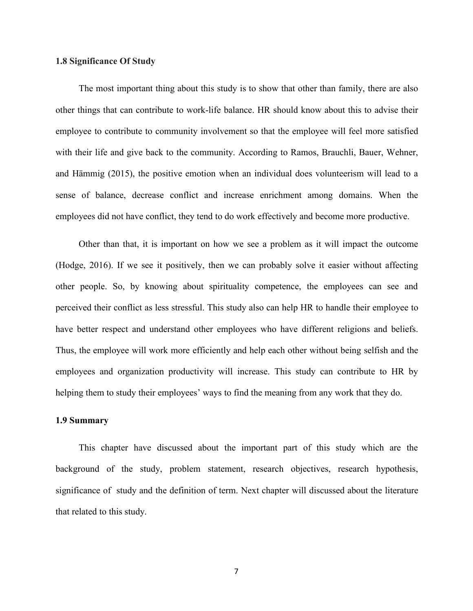## **1.8 Significance Of Study**

The most important thing about this study is to show that other than family, there are also other things that can contribute to work-life balance.HR should know about this to advise their employee to contribute to community involvement so that the employee will feel more satisfied with their life and give back to the community. According to Ramos, Brauchli, Bauer, Wehner, and Hämmig (2015), the positive emotion when an individual does volunteerism will lead to a sense of balance, decrease conflict and increase enrichment among domains. When the employees did not have conflict, they tend to do work effectively and become more productive.

Other than that, it is important on how we see a problem as it will impact the outcome (Hodge, 2016). If we see it positively, then we can probably solve it easier without affecting other people. So, by knowing about spirituality competence, the employees can see and perceived their conflict as less stressful. This study also can help HR to handle their employee to have better respect and understand other employees who have different religions and beliefs. Thus, the employee will work more efficiently and help each other without being selfish and the employees and organization productivity will increase. This study can contribute to HR by helping them to study their employees' ways to find the meaning from any work that they do.

## **1.9 Summary**

This chapter have discussed about the important part of this study which are the background of the study, problem statement, research objectives, research hypothesis, significance of study and the definition of term. Next chapter will discussed about the literature that related to this study.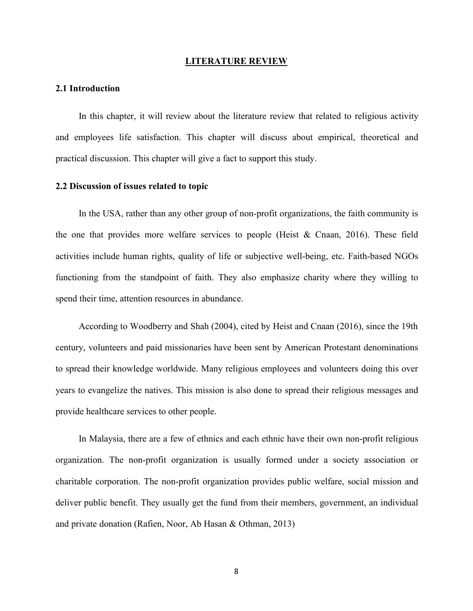#### **LITERATURE REVIEW**

#### **2.1 Introduction**

In this chapter, it will review about the literature review that related to religious activity and employees life satisfaction. This chapter will discuss about empirical, theoretical and practical discussion. This chapter will give a fact to support this study.

#### **2.2 Discussion of issues related to topic**

In the USA, rather than any other group of non-profit organizations, the faith community is the one that provides more welfare services to people (Heist & Cnaan, 2016). These field activities include human rights, quality of life or subjective well-being, etc. Faith-based NGOs functioning from the standpoint of faith. They also emphasize charity where they willing to spend their time, attention resources in abundance.<br>According to Woodberry and Shah (2004), cited by Heist and Cnaan (2016), since the 19th

century, volunteers and paid missionaries have been sent by American Protestant denominations to spread their knowledge worldwide. Many religious employees and volunteers doing this over years to evangelize the natives. This mission is also done to spread their religious messages and provide healthcare services to other people.

In Malaysia, there are a few of ethnics and each ethnic have their own non-profit religious organization. The non-profit organization is usually formed under a society association or charitable corporation. The non-profit organization provides public welfare, social mission and deliver public benefit. They usually get the fund from their members, government, an individual and private donation (Rafien, Noor, Ab Hasan & Othman,2013)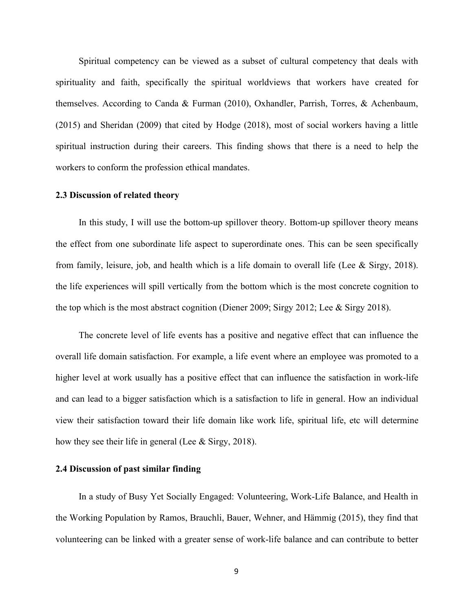Spiritual competency can be viewed as a subset of cultural competency that deals with spirituality and faith, specifically the spiritual worldviews that workers have created for themselves. According to Canda & Furman (2010), Oxhandler, Parrish, Torres, & Achenbaum, (2015) and Sheridan (2009) that cited by Hodge (2018), most of social workers having a little spiritual instruction during their careers. This finding shows that there is a need to help the workers to conform the profession ethical mandates.

#### **2.3 Discussion of related theory**

In this study, I will use the bottom-up spillover theory. Bottom-up spillover theory means the effect from one subordinate life aspect to superordinate ones. This can be seen specifically from family, leisure, job, and health which is a life domain to overall life (Lee & Sirgy, 2018). the life experiences will spill vertically from the bottom which is the most concrete cognition to the top which is the most abstract cognition (Diener 2009; Sirgy 2012; Lee & Sirgy 2018).

The concrete level of life events has a positive and negative effect that can influence the overall life domain satisfaction. For example, a life event where an employee was promoted to a higher level at work usually has a positive effect that can influence the satisfaction in work-life and can lead to a bigger satisfaction which is a satisfaction to life in general. How an individual view their satisfaction toward their life domain like work life, spiritual life, etc will determine how they see their life in general (Lee  $&$  Sirgy, 2018).

## **2.4 Discussion of past similar finding**

In a study of Busy Yet Socially Engaged: Volunteering, Work-Life Balance, and Health in the Working Population by Ramos, Brauchli, Bauer, Wehner, and Hämmig (2015), they find that volunteering can be linked with a greater sense of work-life balance and can contribute to better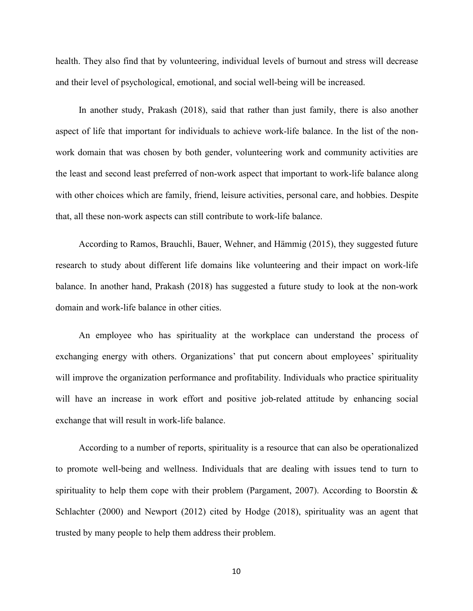health. They also find that by volunteering, individual levels of burnout and stress will decrease and their level of psychological, emotional, and social well-being will be increased.

In another study, Prakash (2018), said that rather than just family, there is also another aspect of life that important for individuals to achieve work-life balance. In the list of the nonwork domain that was chosen by both gender, volunteering work and community activities are the least and second least preferred of non-work aspect that important to work-life balance along with other choices which are family, friend, leisure activities, personal care, and hobbies. Despite that, all these non-work aspects can still contribute to work-life balance.

According to Ramos, Brauchli, Bauer, Wehner, and Hämmig (2015), they suggested future research to study about different life domains like volunteering and their impact on work-life balance. In another hand, Prakash (2018) has suggested a future study to look at the non-work domain and work-life balance in other cities.

An employee who has spirituality at the workplace can understand the process of exchanging energy with others. Organizations' that put concern about employees' spirituality will improve the organization performance and profitability. Individuals who practice spirituality will have an increase in work effort and positive job-related attitude by enhancing social exchange that will result in work-life balance.

According to a number of reports, spirituality is a resource that can also be operationalized to promote well-being and wellness. Individuals that are dealing with issues tend to turn to spirituality to help them cope with their problem (Pargament, 2007). According to Boorstin  $\&$ Schlachter (2000) and Newport (2012) cited by Hodge (2018), spirituality was an agent that trusted by many people to help them address their problem.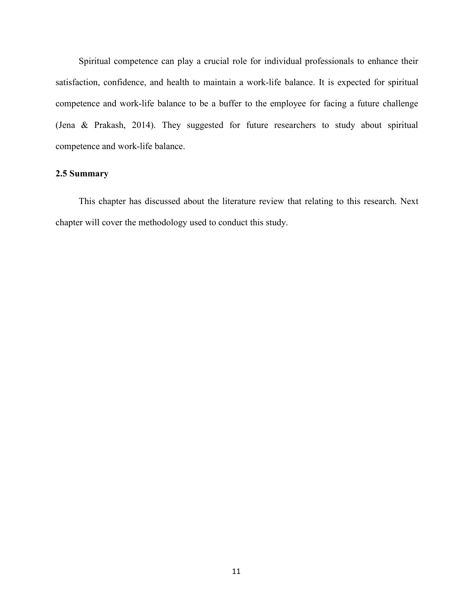Spiritual competence can play a crucial role for individual professionals to enhance their satisfaction, confidence, and health to maintain a work-life balance. It is expected for spiritual competence and work-life balance to be a buffer to the employee for facing a future challenge (Jena & Prakash, 2014). They suggested for future researchers to study about spiritual competence and work-life balance.

## **2.5 Summary**

This chapter has discussed about the literature review that relating to this research. Next chapter will cover the methodology used to conduct this study.